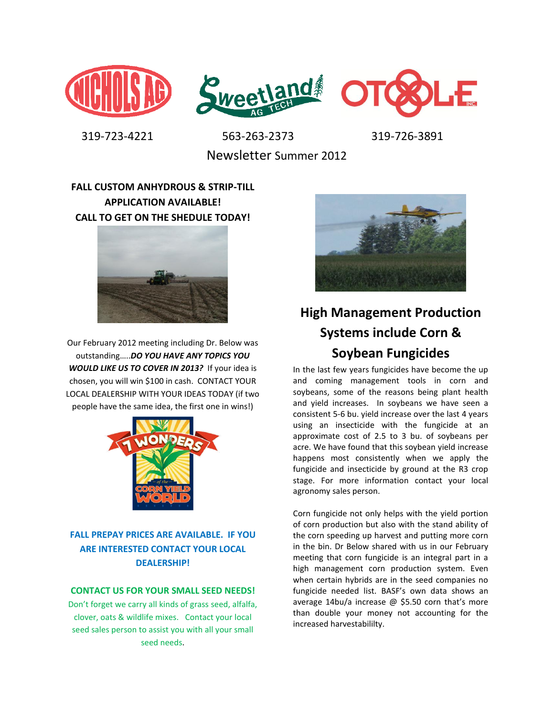



 319-723-4221 563-263-2373 319-726-3891 Newsletter Summer 2012

## **FALL CUSTOM ANHYDROUS & STRIP-TILL APPLICATION AVAILABLE! CALL TO GET ON THE SHEDULE TODAY!**



Our February 2012 meeting including Dr. Below was outstanding…..*DO YOU HAVE ANY TOPICS YOU WOULD LIKE US TO COVER IN 2013?* If your idea is chosen, you will win \$100 in cash. CONTACT YOUR LOCAL DEALERSHIP WITH YOUR IDEAS TODAY (if two people have the same idea, the first one in wins!)



### **FALL PREPAY PRICES ARE AVAILABLE. IF YOU ARE INTERESTED CONTACT YOUR LOCAL DEALERSHIP!**

#### **CONTACT US FOR YOUR SMALL SEED NEEDS!**

Don't forget we carry all kinds of grass seed, alfalfa, clover, oats & wildlife mixes. Contact your local seed sales person to assist you with all your small seed needs.



# **High Management Production Systems include Corn & Soybean Fungicides**

In the last few years fungicides have become the up and coming management tools in corn and soybeans, some of the reasons being plant health and yield increases. In soybeans we have seen a consistent 5-6 bu. yield increase over the last 4 years using an insecticide with the fungicide at an approximate cost of 2.5 to 3 bu. of soybeans per acre. We have found that this soybean yield increase happens most consistently when we apply the fungicide and insecticide by ground at the R3 crop stage. For more information contact your local agronomy sales person.

Corn fungicide not only helps with the yield portion of corn production but also with the stand ability of the corn speeding up harvest and putting more corn in the bin. Dr Below shared with us in our February meeting that corn fungicide is an integral part in a high management corn production system. Even when certain hybrids are in the seed companies no fungicide needed list. BASF's own data shows an average 14bu/a increase @ \$5.50 corn that's more than double your money not accounting for the increased harvestabililty.